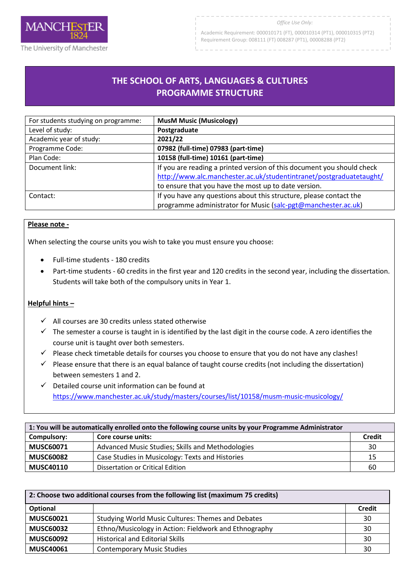

Academic Requirement: 000010171 (FT), 000010314 (PT1), 000010315 (PT2) Requirement Group: 008111 (FT) 008287 (PT1), 00008288 (PT2)

## **THE SCHOOL OF ARTS, LANGUAGES & CULTURES PROGRAMME STRUCTURE**

R

| For students studying on programme: | <b>MusM Music (Musicology)</b>                                         |
|-------------------------------------|------------------------------------------------------------------------|
| Level of study:                     | Postgraduate                                                           |
| Academic year of study:             | 2021/22                                                                |
| Programme Code:                     | 07982 (full-time) 07983 (part-time)                                    |
| Plan Code:                          | 10158 (full-time) 10161 (part-time)                                    |
| Document link:                      | If you are reading a printed version of this document you should check |
|                                     | http://www.alc.manchester.ac.uk/studentintranet/postgraduatetaught/    |
|                                     | to ensure that you have the most up to date version.                   |
| Contact:                            | If you have any questions about this structure, please contact the     |
|                                     | programme administrator for Music (salc-pgt@manchester.ac.uk)          |

## **Please note -**

When selecting the course units you wish to take you must ensure you choose:

- Full-time students 180 credits
- Part-time students 60 credits in the first year and 120 credits in the second year, including the dissertation. Students will take both of the compulsory units in Year 1.

## **Helpful hints –**

- $\checkmark$  All courses are 30 credits unless stated otherwise
- $\checkmark$  The semester a course is taught in is identified by the last digit in the course code. A zero identifies the course unit is taught over both semesters.
- $\checkmark$  Please check timetable details for courses you choose to ensure that you do not have any clashes!
- $\checkmark$  Please ensure that there is an equal balance of taught course credits (not including the dissertation) between semesters 1 and 2.
- $\checkmark$  Detailed course unit information can be found at <https://www.manchester.ac.uk/study/masters/courses/list/10158/musm-music-musicology/>

| 1: You will be automatically enrolled onto the following course units by your Programme Administrator |                                                  |               |
|-------------------------------------------------------------------------------------------------------|--------------------------------------------------|---------------|
| Compulsory:                                                                                           | Core course units:                               | <b>Credit</b> |
| <b>MUSC60071</b>                                                                                      | Advanced Music Studies; Skills and Methodologies | 30            |
| <b>MUSC60082</b>                                                                                      | Case Studies in Musicology: Texts and Histories  | 15            |
| <b>MUSC40110</b>                                                                                      | Dissertation or Critical Edition                 | 60            |

| 2: Choose two additional courses from the following list (maximum 75 credits) |                                                       |               |
|-------------------------------------------------------------------------------|-------------------------------------------------------|---------------|
| Optional                                                                      |                                                       | <b>Credit</b> |
| <b>MUSC60021</b>                                                              | Studying World Music Cultures: Themes and Debates     | 30            |
| <b>MUSC60032</b>                                                              | Ethno/Musicology in Action: Fieldwork and Ethnography | 30            |
| <b>MUSC60092</b>                                                              | <b>Historical and Editorial Skills</b>                | 30            |
| <b>MUSC40061</b>                                                              | <b>Contemporary Music Studies</b>                     | 30            |